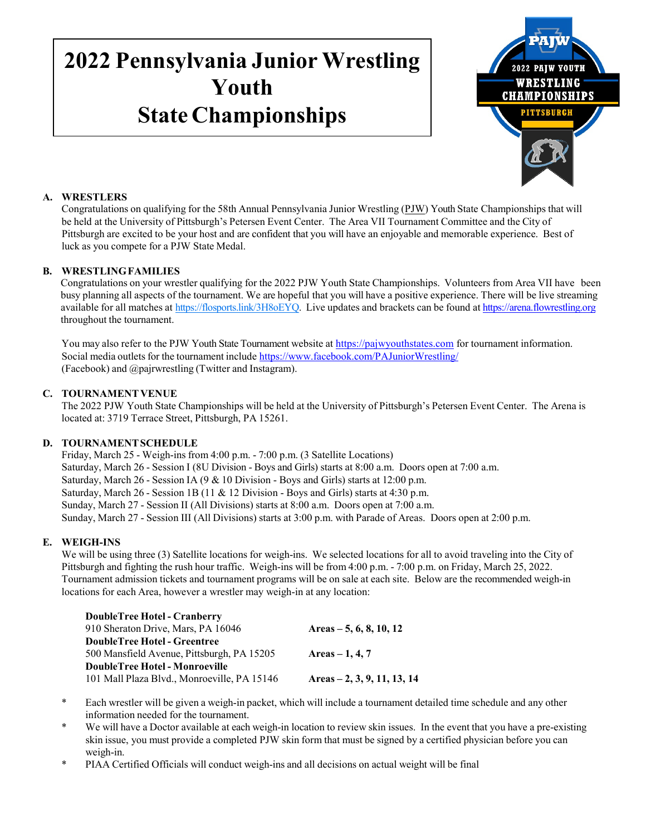# **2022 Pennsylvania Junior Wrestling Youth State Championships**



# **A. WRESTLERS**

Congratulations on qualifying for the 58th Annual Pennsylvania Junior Wrestling (PJW) Youth State Championships that will be held at the University of Pittsburgh's Petersen Event Center. The Area VII Tournament Committee and the City of Pittsburgh are excited to be your host and are confident that you will have an enjoyable and memorable experience. Best of luck as you compete for a PJW State Medal.

# **B. WRESTLINGFAMILIES**

Congratulations on your wrestler qualifying for the 2022 PJW Youth State Championships. Volunteers from Area VII have been busy planning all aspects of the tournament. We are hopeful that you will have a positive experience. There will be live streaming available for all matches at [https://flosports.link/3H8oEYQ.](https://flosports.link/3H8oEYQ) Live updates and brackets can be found at [https://arena.flowrestling.org](https://arena.flowrestling.org/) throughout the tournament.

You may also refer to the PJW Youth State Tournament website at [https://pajwyouthstates.com](https://pajwyouthstates.com/) for tournament information. Social media outletsfor the tournament include <https://www.facebook.com/PAJuniorWrestling/> (Facebook) and @pajrwrestling (Twitter and Instagram).

# **C. TOURNAMENTVENUE**

The 2022 PJW Youth State Championships will be held at the University of Pittsburgh's Petersen Event Center. The Arena is located at: 3719 Terrace Street, Pittsburgh, PA 15261.

# **D. TOURNAMENTSCHEDULE**

Friday, March 25 - Weigh-ins from 4:00 p.m. - 7:00 p.m. (3 Satellite Locations) Saturday, March 26 - Session I (8U Division - Boys and Girls) starts at 8:00 a.m. Doors open at 7:00 a.m. Saturday, March 26 - Session IA (9 & 10 Division - Boys and Girls) starts at 12:00 p.m. Saturday, March 26 - Session 1B (11 & 12 Division - Boys and Girls) starts at 4:30 p.m. Sunday, March 27 - Session II (All Divisions) starts at 8:00 a.m. Doors open at 7:00 a.m. Sunday, March 27 - Session III (All Divisions) starts at 3:00 p.m. with Parade of Areas. Doors open at 2:00 p.m.

## **E. WEIGH-INS**

We will be using three (3) Satellite locations for weigh-ins. We selected locations for all to avoid traveling into the City of Pittsburgh and fighting the rush hour traffic. Weigh-ins will be from 4:00 p.m. - 7:00 p.m. on Friday, March 25, 2022. Tournament admission tickets and tournament programs will be on sale at each site. Below are the recommended weigh-in locations for each Area, however a wrestler may weigh-in at any location:

| Areas $-5, 6, 8, 10, 12$      |
|-------------------------------|
|                               |
| Areas $-1, 4, 7$              |
|                               |
| Areas $-2$ , 3, 9, 11, 13, 14 |
|                               |

- \* Each wrestler will be given a weigh-in packet, which will include a tournament detailed time schedule and any other information needed for the tournament.
- \* We will have a Doctor available at each weigh-in location to review skin issues. In the event that you have a pre-existing skin issue, you must provide a completed PJW skin form that must be signed by a certified physician before you can weigh-in.
- \* PIAA Certified Officials will conduct weigh-ins and all decisions on actual weight will be final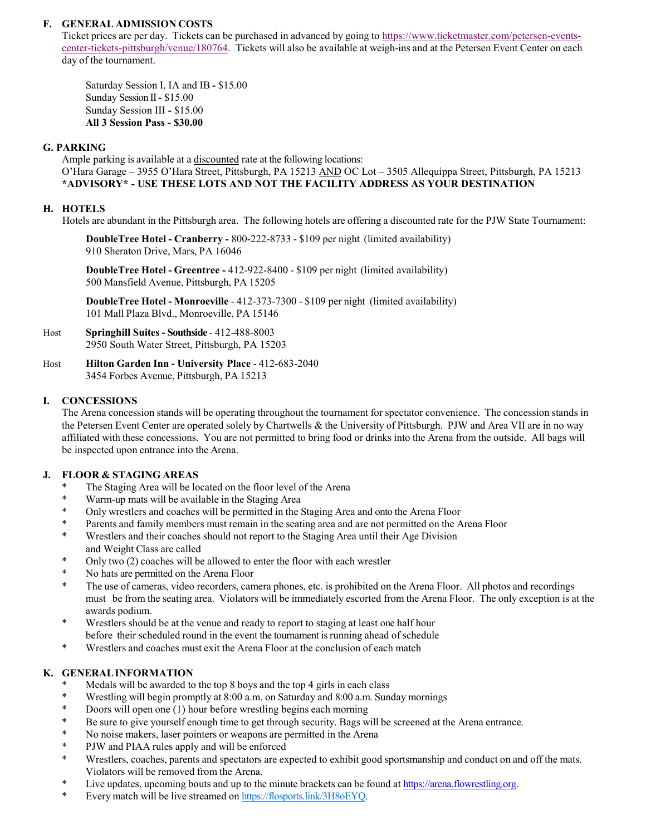## **F. GENERAL ADMISSION COSTS**

Ticket prices are per day. Tickets can be purchased in advanced by going to [https://www.ticketmaster.com/petersen-events](https://www.ticketmaster.com/petersen-events-center-tickets-pittsburgh/venue/180764)[center-tickets-pittsburgh/venue/180764.](https://www.ticketmaster.com/petersen-events-center-tickets-pittsburgh/venue/180764) Tickets will also be available at weigh-ins and at the Petersen Event Center on each day of the tournament.

Saturday Session I, IA and IB **-** \$15.00 Sunday Session II**-** \$15.00 Sunday Session III **-** \$15.00 **All 3 Session Pass - \$30.00**

#### **G. PARKING**

Ample parking is available at a discounted rate at the following locations: O'Hara Garage – 3955 O'Hara Street, Pittsburgh, PA 15213 AND OC Lot – 3505 Allequippa Street, Pittsburgh, PA 15213 **\*ADVISORY\* - USE THESE LOTS AND NOT THE FACILITY ADDRESS AS YOUR DESTINATION**

#### **H. HOTELS**

Hotels are abundant in the Pittsburgh area. The following hotels are offering a discounted rate for the PJW State Tournament:

**DoubleTree Hotel - Cranberry -** 800-222-8733 - \$109 per night (limited availability) 910 Sheraton Drive, Mars, PA 16046

**DoubleTree Hotel - Greentree -** 412-922-8400 - \$109 per night (limited availability) 500 Mansfield Avenue, Pittsburgh, PA 15205

**DoubleTree Hotel - Monroeville** - 412-373-7300 - \$109 per night (limited availability) 101 Mall Plaza Blvd., Monroeville, PA 15146

- Host **Springhill Suites - Southside**  412-488-8003 2950 South Water Street, Pittsburgh, PA 15203
- Host **Hilton Garden Inn - University Place** 412-683-2040 3454 Forbes Avenue, Pittsburgh, PA 15213

#### **I. CONCESSIONS**

The Arena concession stands will be operating throughout the tournament for spectator convenience. The concession stands in the Petersen Event Center are operated solely by Chartwells & the University of Pittsburgh. PJW and Area VII are in no way affiliated with these concessions. You are not permitted to bring food or drinks into the Arena from the outside. All bags will be inspected upon entrance into the Arena.

## **J. FLOOR & STAGING AREAS**

- \* The Staging Area will be located on the floor level of the Arena<br>\* Worm up mote will be evoluable in the Staging Area
- Warm-up mats will be available in the Staging Area
- \* Only wrestlers and coaches will be permitted in the Staging Area and onto the Arena Floor
- \* Parents and family members must remain in the seating area and are not permitted on the Arena Floor
- \* Wrestlers and their coaches should not report to the Staging Area until their Age Division and Weight Class are called
- \* Only two (2) coaches will be allowed to enter the floor with each wrestler  $\frac{1}{2}$ .
- No hats are permitted on the Arena Floor
- The use of cameras, video recorders, camera phones, etc. is prohibited on the Arena Floor. All photos and recordings must be from the seating area. Violators will be immediately escorted from the Arena Floor. The only exception is at the awards podium.
- \* Wrestlers should be at the venue and ready to report to staging at least one half hour before their scheduled round in the event the tournament isrunning ahead of schedule
- \* Wrestlers and coaches must exit the Arena Floor at the conclusion of each match

## **K. GENERALINFORMATION**

- Medals will be awarded to the top 8 boys and the top 4 girls in each class
- \* Wrestling will begin promptly at 8:00 a.m. on Saturday and 8:00 a.m. Sunday mornings
- \* Doors will open one (1) hour before wrestling begins each morning
- \* Be sure to give yourself enough time to get through security. Bags will be screened at the Arena entrance.
- \* No noise makers, laser pointers or weapons are permitted in the Arena
- \* PJW and PIAA rules apply and will be enforced
- \* Wrestlers, coaches, parents and spectators are expected to exhibit good sportsmanship and conduct on and off the mats. Violators will be removed from the Arena.
- \* Live updates, upcoming bouts and up to the minute brackets can be found at [https://arena.flowrestling.org.](https://arena.flowrestling.org/)
- \* Every match will be live streamed on [https://flosports.link/3H8oEYQ.](https://flosports.link/3H8oEYQ)